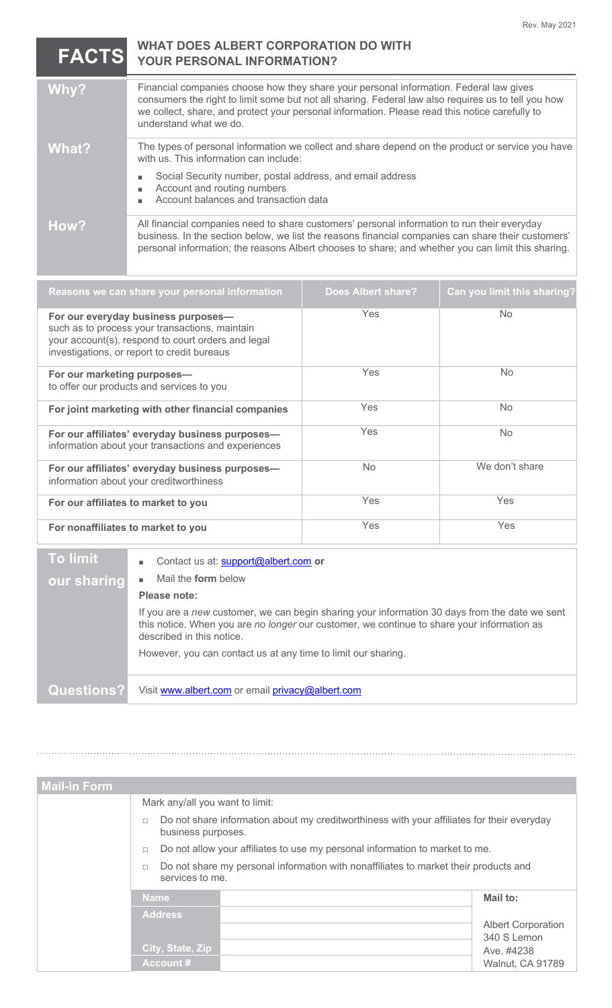**FACTS**

## **WHAT DOES ALBERT CORPORATION DO WITH YOUR PERSONAL INFORMATION?**

| Why?  | Financial companies choose how they share your personal information. Federal law gives<br>consumers the right to limit some but not all sharing. Federal law also requires us to tell you how<br>we collect, share, and protect your personal information. Please read this notice carefully to<br>understand what we do. |
|-------|---------------------------------------------------------------------------------------------------------------------------------------------------------------------------------------------------------------------------------------------------------------------------------------------------------------------------|
| What? | The types of personal information we collect and share depend on the product or service you have<br>with us. This information can include:                                                                                                                                                                                |
|       | Social Security number, postal address, and email address<br>٠<br>Account and routing numbers<br>٠<br>Account balances and transaction data                                                                                                                                                                               |
| How?  | All financial companies need to share customers' personal information to run their everyday<br>business. In the section below, we list the reasons financial companies can share their customers'<br>personal information; the reasons Albert chooses to share; and whether you can limit this sharing.                   |

| Reasons we can share your personal information                                                                                                                                             | <b>Does Albert share?</b> | Can you limit this sharing? |
|--------------------------------------------------------------------------------------------------------------------------------------------------------------------------------------------|---------------------------|-----------------------------|
| For our everyday business purposes-<br>such as to process your transactions, maintain<br>your account(s), respond to court orders and legal<br>investigations, or report to credit bureaus | Yes                       | <b>No</b>                   |
| For our marketing purposes-<br>to offer our products and services to you                                                                                                                   | Yes                       | <b>No</b>                   |
| For joint marketing with other financial companies                                                                                                                                         | <b>Yes</b>                | <b>No</b>                   |
| For our affiliates' everyday business purposes-<br>information about your transactions and experiences                                                                                     | Yes                       | N <sub>o</sub>              |
| For our affiliates' everyday business purposes-<br>information about your creditworthiness                                                                                                 | No.                       | We don't share              |
| For our affiliates to market to you                                                                                                                                                        | Yes                       | <b>Yes</b>                  |
| For nonaffiliates to market to you                                                                                                                                                         | Yes                       | Yes                         |

| <b>To limit</b> | Contact us at: support@albert.com or<br>٠.                                                                                                                                                                                |
|-----------------|---------------------------------------------------------------------------------------------------------------------------------------------------------------------------------------------------------------------------|
| our sharing     | Mail the <b>form</b> below                                                                                                                                                                                                |
|                 | Please note:                                                                                                                                                                                                              |
|                 | If you are a new customer, we can begin sharing your information 30 days from the date we sent<br>this notice. When you are no longer our customer, we continue to share your information as<br>described in this notice. |
|                 | However, you can contact us at any time to limit our sharing.                                                                                                                                                             |
| Questions?      | Visit www.albert.com or email privacy@albert.com                                                                                                                                                                          |

| <b>Mail-in Form</b> |                                                                                                                                                                                                        |                                                                                            |                                          |
|---------------------|--------------------------------------------------------------------------------------------------------------------------------------------------------------------------------------------------------|--------------------------------------------------------------------------------------------|------------------------------------------|
|                     | Mark any/all you want to limit:                                                                                                                                                                        |                                                                                            |                                          |
|                     | П<br>business purposes.                                                                                                                                                                                | Do not share information about my creditworthiness with your affiliates for their everyday |                                          |
|                     | Do not allow your affiliates to use my personal information to market to me.<br>$\Box$<br>Do not share my personal information with nonaffiliates to market their products and<br>П<br>services to me. |                                                                                            |                                          |
|                     |                                                                                                                                                                                                        |                                                                                            |                                          |
|                     | <b>Name</b>                                                                                                                                                                                            |                                                                                            | Mail to:                                 |
|                     | <b>Address</b>                                                                                                                                                                                         |                                                                                            | <b>Albert Corporation</b><br>340 S Lemon |
|                     | City, State, Zip                                                                                                                                                                                       |                                                                                            | Ave. #4238                               |
|                     | <b>Account #</b>                                                                                                                                                                                       |                                                                                            | Walnut, CA 91789                         |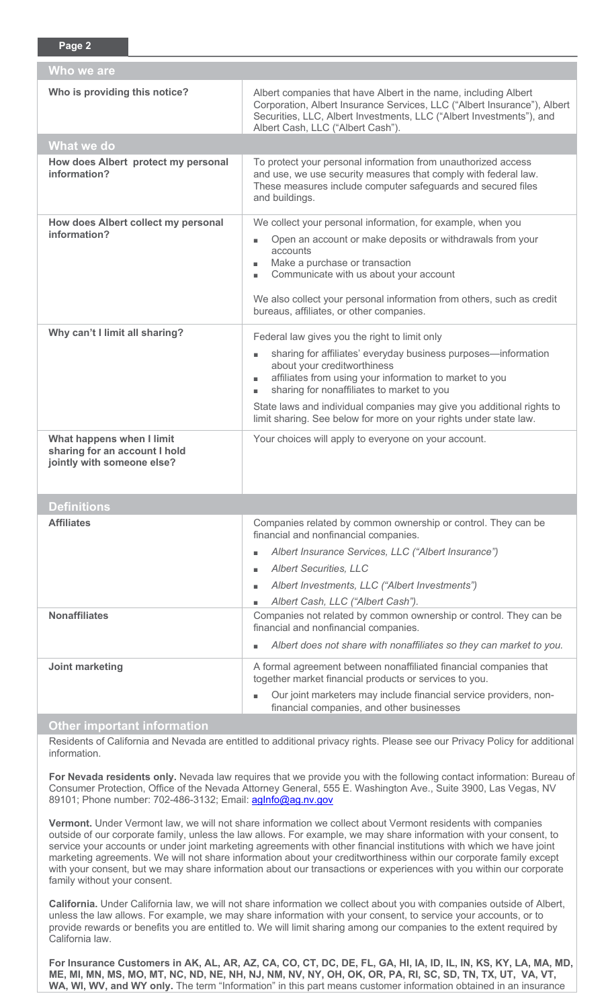| Who we are                                                                               |                                                                                                                                                                                                                                                                                                                                                                                                       |  |  |  |
|------------------------------------------------------------------------------------------|-------------------------------------------------------------------------------------------------------------------------------------------------------------------------------------------------------------------------------------------------------------------------------------------------------------------------------------------------------------------------------------------------------|--|--|--|
| Who is providing this notice?                                                            | Albert companies that have Albert in the name, including Albert<br>Corporation, Albert Insurance Services, LLC ("Albert Insurance"), Albert<br>Securities, LLC, Albert Investments, LLC ("Albert Investments"), and<br>Albert Cash, LLC ("Albert Cash").                                                                                                                                              |  |  |  |
| What we do                                                                               |                                                                                                                                                                                                                                                                                                                                                                                                       |  |  |  |
| How does Albert protect my personal<br>information?                                      | To protect your personal information from unauthorized access<br>and use, we use security measures that comply with federal law.<br>These measures include computer safeguards and secured files<br>and buildings.                                                                                                                                                                                    |  |  |  |
| How does Albert collect my personal<br>information?                                      | We collect your personal information, for example, when you<br>Open an account or make deposits or withdrawals from your<br>accounts<br>Make a purchase or transaction<br>Communicate with us about your account<br>٠<br>We also collect your personal information from others, such as credit<br>bureaus, affiliates, or other companies.                                                            |  |  |  |
| Why can't I limit all sharing?                                                           | Federal law gives you the right to limit only<br>sharing for affiliates' everyday business purposes-information<br>about your creditworthiness<br>affiliates from using your information to market to you<br>sharing for nonaffiliates to market to you<br>State laws and individual companies may give you additional rights to<br>limit sharing. See below for more on your rights under state law. |  |  |  |
| What happens when I limit<br>sharing for an account I hold<br>jointly with someone else? | Your choices will apply to everyone on your account.                                                                                                                                                                                                                                                                                                                                                  |  |  |  |
| <b>Definitions</b>                                                                       |                                                                                                                                                                                                                                                                                                                                                                                                       |  |  |  |
| <b>Affiliates</b>                                                                        | Companies related by common ownership or control. They can be<br>financial and nonfinancial companies.<br>Albert Insurance Services, LLC ("Albert Insurance")<br><b>Albert Securities, LLC</b><br>Albert Investments, LLC ("Albert Investments")<br>Albert Cash, LLC ("Albert Cash").                                                                                                                 |  |  |  |
| <b>Nonaffiliates</b>                                                                     | Companies not related by common ownership or control. They can be<br>financial and nonfinancial companies.<br>Albert does not share with nonaffiliates so they can market to you.                                                                                                                                                                                                                     |  |  |  |
| Joint marketing                                                                          | A formal agreement between nonaffiliated financial companies that<br>together market financial products or services to you.<br>Our joint marketers may include financial service providers, non-<br>financial companies, and other businesses                                                                                                                                                         |  |  |  |
| <b>Other important information</b>                                                       |                                                                                                                                                                                                                                                                                                                                                                                                       |  |  |  |

**Page 2**

Residents of California and Nevada are entitled to additional privacy rights. Please see our Privacy Policy for additional information.

**For Nevada residents only.** Nevada law requires that we provide you with the following contact information: Bureau of Consumer Protection, Office of the Nevada Attorney General, 555 E. Washington Ave., Suite 3900, Las Vegas, NV 89101; Phone number: 702-486-3132; Email: aginfo@ag.nv.gov

**Vermont.** Under Vermont law, we will not share information we collect about Vermont residents with companies outside of our corporate family, unless the law allows. For example, we may share information with your consent, to service your accounts or under joint marketing agreements with other financial institutions with which we have joint marketing agreements. We will not share information about your creditworthiness within our corporate family except with your consent, but we may share information about our transactions or experiences with you within our corporate family without your consent.

**California.** Under California law, we will not share information we collect about you with companies outside of Albert, unless the law allows. For example, we may share information with your consent, to service your accounts, or to provide rewards or benefits you are entitled to. We will limit sharing among our companies to the extent required by California law.

**For Insurance Customers in AK, AL, AR, AZ, CA, CO, CT, DC, DE, FL, GA, HI, IA, ID, IL, IN, KS, KY, LA, MA, MD, ME, MI, MN, MS, MO, MT, NC, ND, NE, NH, NJ, NM, NV, NY, OH, OK, OR, PA, RI, SC, SD, TN, TX, UT, VA, VT, WA, WI, WV, and WY only.** The term "Information" in this part means customer information obtained in an insurance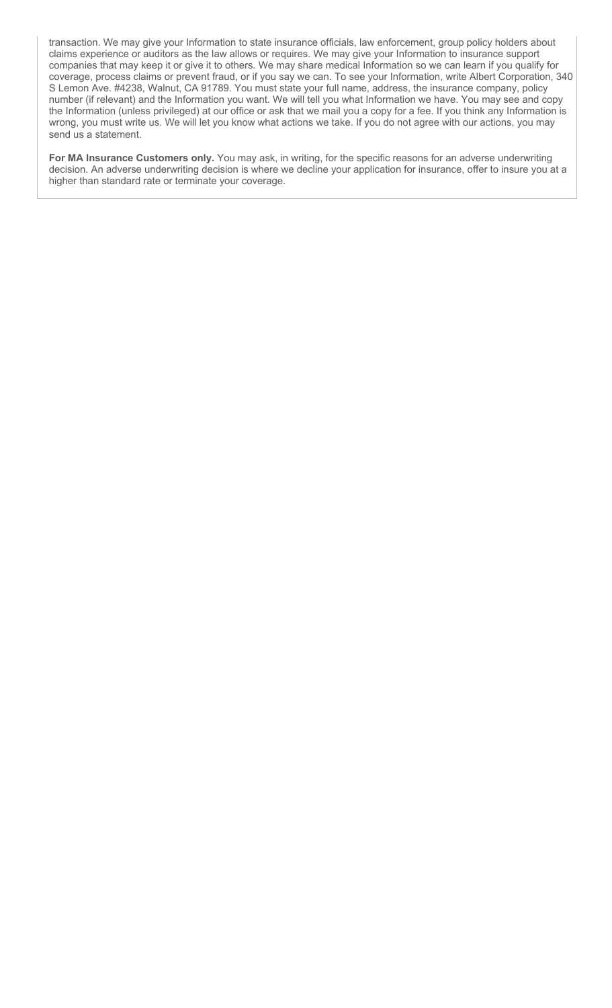transaction. We may give your Information to state insurance officials, law enforcement, group policy holders about claims experience or auditors as the law allows or requires. We may give your Information to insurance support companies that may keep it or give it to others. We may share medical Information so we can learn if you qualify for coverage, process claims or prevent fraud, or if you say we can. To see your Information, write Albert Corporation, 340 S Lemon Ave. #4238, Walnut, CA 91789. You must state your full name, address, the insurance company, policy number (if relevant) and the Information you want. We will tell you what Information we have. You may see and copy the Information (unless privileged) at our office or ask that we mail you a copy for a fee. If you think any Information is wrong, you must write us. We will let you know what actions we take. If you do not agree with our actions, you may send us a statement.

**For MA Insurance Customers only.** You may ask, in writing, for the specific reasons for an adverse underwriting decision. An adverse underwriting decision is where we decline your application for insurance, offer to insure you at a higher than standard rate or terminate your coverage.